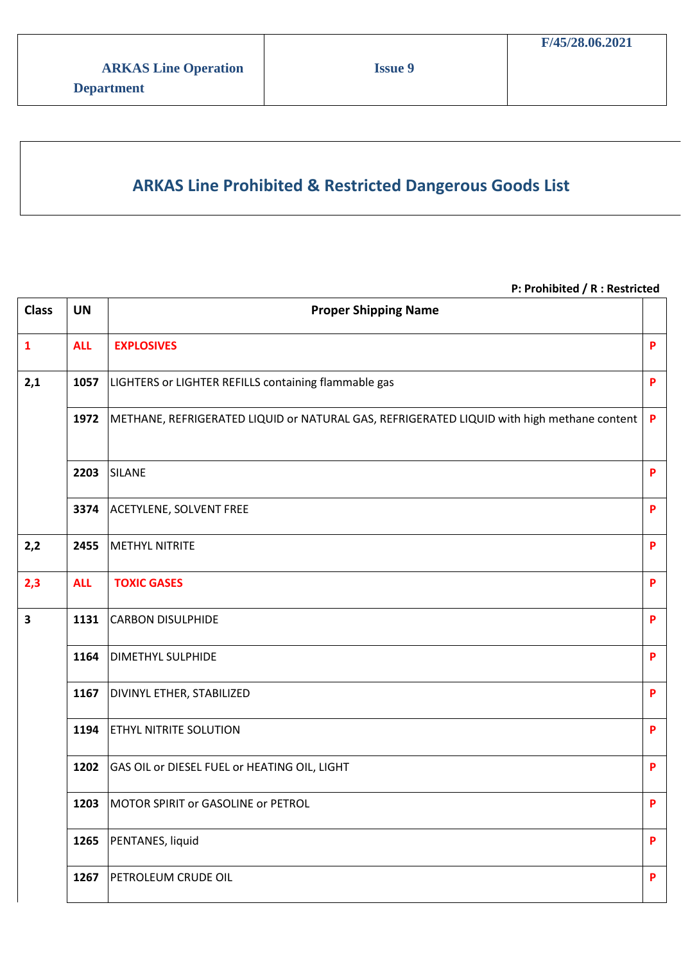## **ARKAS Line Prohibited & Restricted Dangerous Goods List**

#### **P: Prohibited / R : Restricted**

| <b>Class</b>            | <b>UN</b>  | <b>Proper Shipping Name</b>                                                                |   |
|-------------------------|------------|--------------------------------------------------------------------------------------------|---|
| $\mathbf{1}$            | <b>ALL</b> | <b>EXPLOSIVES</b>                                                                          | P |
| 2,1                     | 1057       | LIGHTERS or LIGHTER REFILLS containing flammable gas                                       | P |
|                         | 1972       | METHANE, REFRIGERATED LIQUID or NATURAL GAS, REFRIGERATED LIQUID with high methane content | P |
|                         | 2203       | <b>SILANE</b>                                                                              | P |
|                         | 3374       | <b>ACETYLENE, SOLVENT FREE</b>                                                             | P |
| 2,2                     | 2455       | <b>METHYL NITRITE</b>                                                                      | P |
| 2,3                     | <b>ALL</b> | <b>TOXIC GASES</b>                                                                         | P |
| $\overline{\mathbf{3}}$ | 1131       | <b>CARBON DISULPHIDE</b>                                                                   | P |
|                         | 1164       | <b>DIMETHYL SULPHIDE</b>                                                                   | P |
|                         | 1167       | <b>DIVINYL ETHER, STABILIZED</b>                                                           | P |
|                         | 1194       | <b>ETHYL NITRITE SOLUTION</b>                                                              | P |
|                         | 1202       | GAS OIL or DIESEL FUEL or HEATING OIL, LIGHT                                               | P |
|                         | 1203       | MOTOR SPIRIT or GASOLINE or PETROL                                                         | P |
|                         | 1265       | PENTANES, liquid                                                                           | P |
|                         | 1267       | PETROLEUM CRUDE OIL                                                                        | P |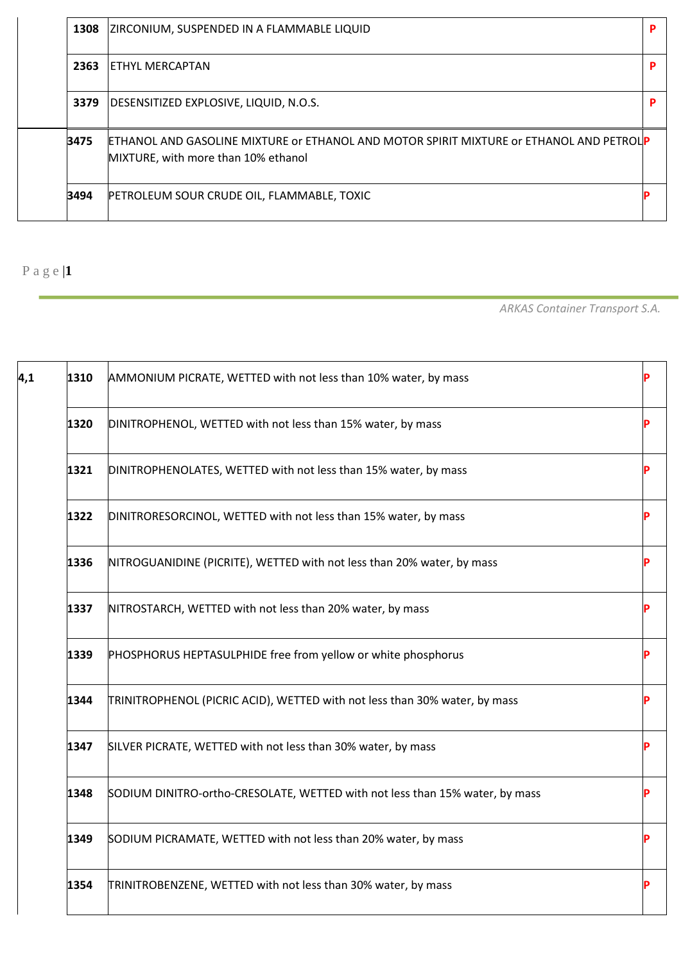| 1308 | ZIRCONIUM, SUSPENDED IN A FLAMMABLE LIQUID                                                                                            |  |
|------|---------------------------------------------------------------------------------------------------------------------------------------|--|
| 2363 | ETHYL MERCAPTAN                                                                                                                       |  |
| 3379 | DESENSITIZED EXPLOSIVE, LIQUID, N.O.S.                                                                                                |  |
| 3475 | <b>ETHANOL AND GASOLINE MIXTURE OF ETHANOL AND MOTOR SPIRIT MIXTURE OF ETHANOL AND PETROUP</b><br>MIXTURE, with more than 10% ethanol |  |
| 3494 | PETROLEUM SOUR CRUDE OIL, FLAMMABLE, TOXIC                                                                                            |  |

*ARKAS Container Transport S.A.*

| 1310 | AMMONIUM PICRATE, WETTED with not less than 10% water, by mass               |  |
|------|------------------------------------------------------------------------------|--|
| 1320 | DINITROPHENOL, WETTED with not less than 15% water, by mass                  |  |
| 1321 | DINITROPHENOLATES, WETTED with not less than 15% water, by mass              |  |
| 1322 | DINITRORESORCINOL, WETTED with not less than 15% water, by mass              |  |
| 1336 | NITROGUANIDINE (PICRITE), WETTED with not less than 20% water, by mass       |  |
| 1337 | NITROSTARCH, WETTED with not less than 20% water, by mass                    |  |
| 1339 | PHOSPHORUS HEPTASULPHIDE free from yellow or white phosphorus                |  |
| 1344 | TRINITROPHENOL (PICRIC ACID), WETTED with not less than 30% water, by mass   |  |
| 1347 | SILVER PICRATE, WETTED with not less than 30% water, by mass                 |  |
| 1348 | SODIUM DINITRO-ortho-CRESOLATE, WETTED with not less than 15% water, by mass |  |
| 1349 | SODIUM PICRAMATE, WETTED with not less than 20% water, by mass               |  |
| 1354 | TRINITROBENZENE, WETTED with not less than 30% water, by mass                |  |
|      |                                                                              |  |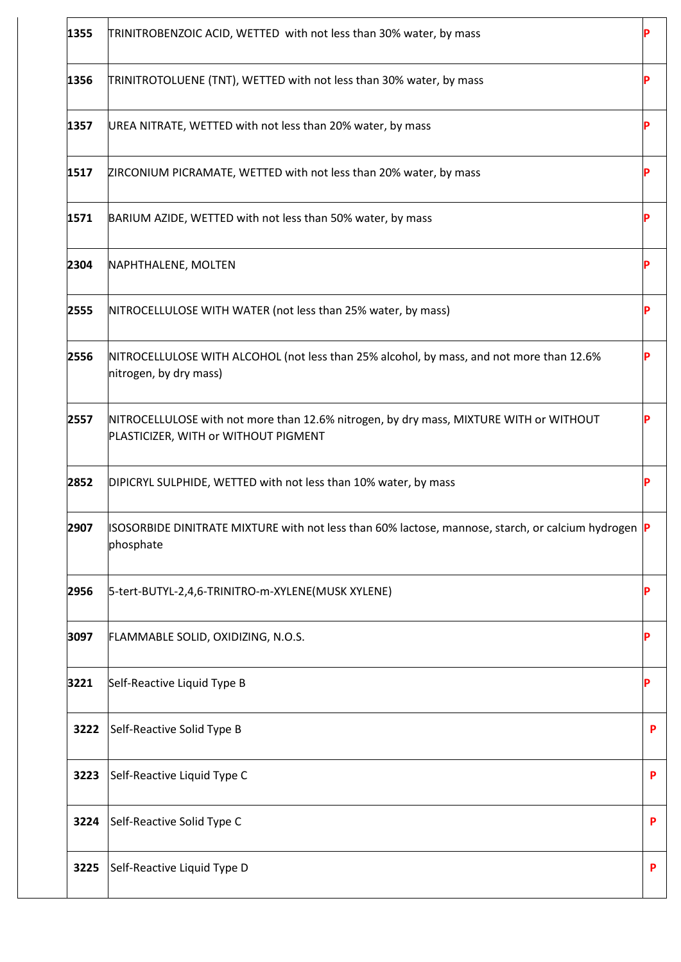| 1355 | TRINITROBENZOIC ACID, WETTED with not less than 30% water, by mass                                                             |   |
|------|--------------------------------------------------------------------------------------------------------------------------------|---|
| 1356 | TRINITROTOLUENE (TNT), WETTED with not less than 30% water, by mass                                                            |   |
| 1357 | UREA NITRATE, WETTED with not less than 20% water, by mass                                                                     |   |
| 1517 | ZIRCONIUM PICRAMATE, WETTED with not less than 20% water, by mass                                                              |   |
| 1571 | BARIUM AZIDE, WETTED with not less than 50% water, by mass                                                                     |   |
| 2304 | NAPHTHALENE, MOLTEN                                                                                                            |   |
| 2555 | NITROCELLULOSE WITH WATER (not less than 25% water, by mass)                                                                   |   |
| 2556 | NITROCELLULOSE WITH ALCOHOL (not less than 25% alcohol, by mass, and not more than 12.6%<br>nitrogen, by dry mass)             |   |
| 2557 | NITROCELLULOSE with not more than 12.6% nitrogen, by dry mass, MIXTURE WITH or WITHOUT<br>PLASTICIZER, WITH or WITHOUT PIGMENT |   |
| 2852 | DIPICRYL SULPHIDE, WETTED with not less than 10% water, by mass                                                                |   |
| 2907 | ISOSORBIDE DINITRATE MIXTURE with not less than 60% lactose, mannose, starch, or calcium hydrogen  P<br>phosphate              |   |
| 2956 | 5-tert-BUTYL-2,4,6-TRINITRO-m-XYLENE(MUSK XYLENE)                                                                              |   |
| 3097 | FLAMMABLE SOLID, OXIDIZING, N.O.S.                                                                                             |   |
| 3221 | Self-Reactive Liquid Type B                                                                                                    |   |
| 3222 | Self-Reactive Solid Type B                                                                                                     | P |
| 3223 | Self-Reactive Liquid Type C                                                                                                    | P |
| 3224 | Self-Reactive Solid Type C                                                                                                     | P |
| 3225 | Self-Reactive Liquid Type D                                                                                                    |   |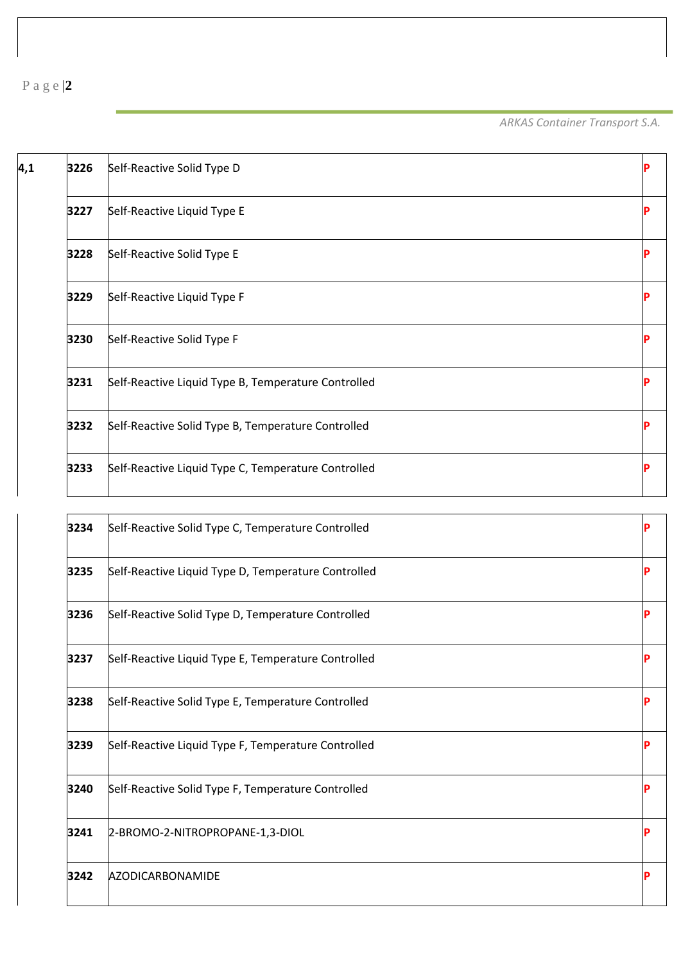*ARKAS Container Transport S.A.*

ľ

| 4,1 | 3226 | Self-Reactive Solid Type D                          |  |
|-----|------|-----------------------------------------------------|--|
|     | 3227 | Self-Reactive Liquid Type E                         |  |
|     | 3228 | Self-Reactive Solid Type E                          |  |
|     | 3229 | Self-Reactive Liquid Type F                         |  |
|     | 3230 | Self-Reactive Solid Type F                          |  |
|     | 3231 | Self-Reactive Liquid Type B, Temperature Controlled |  |
|     | 3232 | Self-Reactive Solid Type B, Temperature Controlled  |  |
|     | 3233 | Self-Reactive Liquid Type C, Temperature Controlled |  |
|     |      |                                                     |  |

| 3234 | Self-Reactive Solid Type C, Temperature Controlled  |   |
|------|-----------------------------------------------------|---|
| 3235 | Self-Reactive Liquid Type D, Temperature Controlled |   |
| 3236 | Self-Reactive Solid Type D, Temperature Controlled  |   |
| 3237 | Self-Reactive Liquid Type E, Temperature Controlled | p |
| 3238 | Self-Reactive Solid Type E, Temperature Controlled  |   |
| 3239 | Self-Reactive Liquid Type F, Temperature Controlled |   |
| 3240 | Self-Reactive Solid Type F, Temperature Controlled  |   |
| 3241 | 2-BROMO-2-NITROPROPANE-1,3-DIOL                     |   |
| 3242 | <b>AZODICARBONAMIDE</b>                             | P |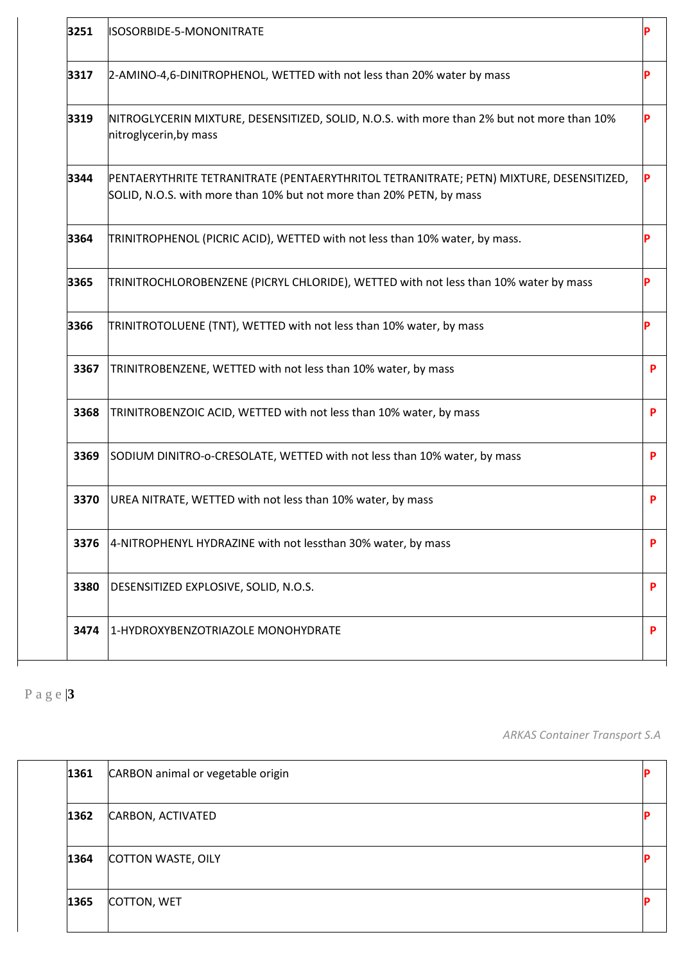| 3251 | ISOSORBIDE-5-MONONITRATE                                                                                                                                        |   |
|------|-----------------------------------------------------------------------------------------------------------------------------------------------------------------|---|
| 3317 | 2-AMINO-4,6-DINITROPHENOL, WETTED with not less than 20% water by mass                                                                                          |   |
| 3319 | NITROGLYCERIN MIXTURE, DESENSITIZED, SOLID, N.O.S. with more than 2% but not more than 10%<br>nitroglycerin, by mass                                            |   |
| 3344 | PENTAERYTHRITE TETRANITRATE (PENTAERYTHRITOL TETRANITRATE; PETN) MIXTURE, DESENSITIZED,<br>SOLID, N.O.S. with more than 10% but not more than 20% PETN, by mass |   |
| 3364 | TRINITROPHENOL (PICRIC ACID), WETTED with not less than 10% water, by mass.                                                                                     |   |
| 3365 | TRINITROCHLOROBENZENE (PICRYL CHLORIDE), WETTED with not less than 10% water by mass                                                                            |   |
| 3366 | TRINITROTOLUENE (TNT), WETTED with not less than 10% water, by mass                                                                                             |   |
| 3367 | TRINITROBENZENE, WETTED with not less than 10% water, by mass                                                                                                   | P |
| 3368 | TRINITROBENZOIC ACID, WETTED with not less than 10% water, by mass                                                                                              | P |
| 3369 | SODIUM DINITRO-o-CRESOLATE, WETTED with not less than 10% water, by mass                                                                                        | P |
| 3370 | UREA NITRATE, WETTED with not less than 10% water, by mass                                                                                                      | P |
| 3376 | 4-NITROPHENYL HYDRAZINE with not lessthan 30% water, by mass                                                                                                    | P |
| 3380 | DESENSITIZED EXPLOSIVE, SOLID, N.O.S.                                                                                                                           | P |
| 3474 | 1-HYDROXYBENZOTRIAZOLE MONOHYDRATE                                                                                                                              | P |

*ARKAS Container Transport S.A*

| 1361 | CARBON animal or vegetable origin |  |
|------|-----------------------------------|--|
| 1362 | <b>CARBON, ACTIVATED</b>          |  |
| 1364 | COTTON WASTE, OILY                |  |
| 1365 | COTTON, WET                       |  |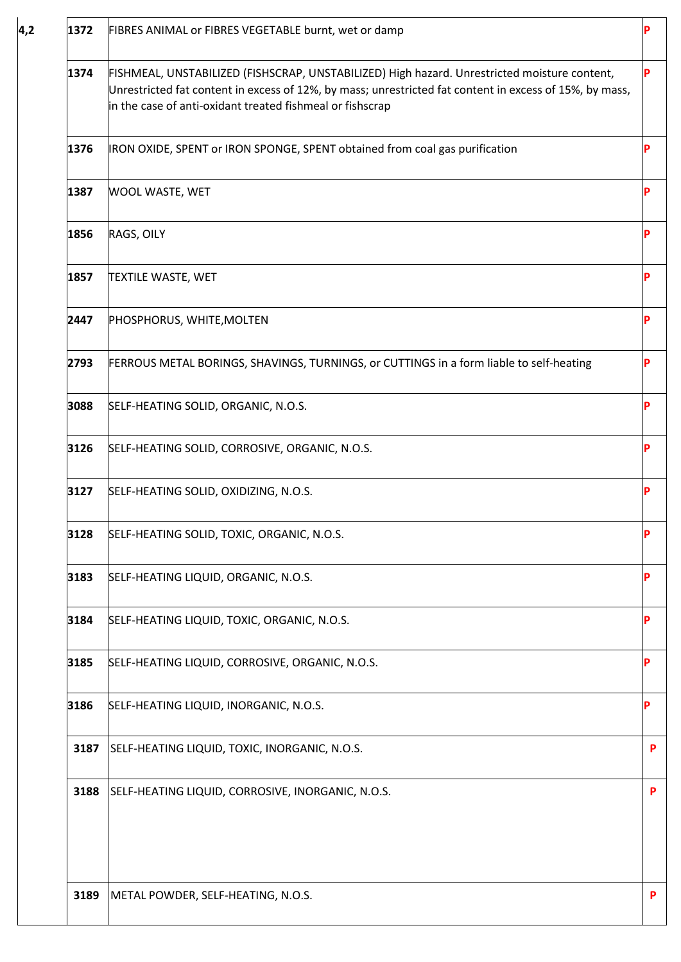| 1372 | FIBRES ANIMAL or FIBRES VEGETABLE burnt, wet or damp                                                                                                                                                                                                                 |   |
|------|----------------------------------------------------------------------------------------------------------------------------------------------------------------------------------------------------------------------------------------------------------------------|---|
| 1374 | FISHMEAL, UNSTABILIZED (FISHSCRAP, UNSTABILIZED) High hazard. Unrestricted moisture content,<br>Unrestricted fat content in excess of 12%, by mass; unrestricted fat content in excess of 15%, by mass,<br>in the case of anti-oxidant treated fishmeal or fishscrap | P |
| 1376 | IRON OXIDE, SPENT or IRON SPONGE, SPENT obtained from coal gas purification                                                                                                                                                                                          | P |
| 1387 | WOOL WASTE, WET                                                                                                                                                                                                                                                      | Þ |
| 1856 | RAGS, OILY                                                                                                                                                                                                                                                           |   |
| 1857 | <b>TEXTILE WASTE, WET</b>                                                                                                                                                                                                                                            | P |
| 2447 | PHOSPHORUS, WHITE, MOLTEN                                                                                                                                                                                                                                            | P |
| 2793 | FERROUS METAL BORINGS, SHAVINGS, TURNINGS, or CUTTINGS in a form liable to self-heating                                                                                                                                                                              | P |
| 3088 | SELF-HEATING SOLID, ORGANIC, N.O.S.                                                                                                                                                                                                                                  |   |
| 3126 | SELF-HEATING SOLID, CORROSIVE, ORGANIC, N.O.S.                                                                                                                                                                                                                       | P |
| 3127 | SELF-HEATING SOLID, OXIDIZING, N.O.S.                                                                                                                                                                                                                                | P |
| 3128 | SELF-HEATING SOLID, TOXIC, ORGANIC, N.O.S.                                                                                                                                                                                                                           | P |
| 3183 | SELF-HEATING LIQUID, ORGANIC, N.O.S.                                                                                                                                                                                                                                 |   |
| 3184 | SELF-HEATING LIQUID, TOXIC, ORGANIC, N.O.S.                                                                                                                                                                                                                          | P |
| 3185 | SELF-HEATING LIQUID, CORROSIVE, ORGANIC, N.O.S.                                                                                                                                                                                                                      | P |
| 3186 | SELF-HEATING LIQUID, INORGANIC, N.O.S.                                                                                                                                                                                                                               | P |
| 3187 | SELF-HEATING LIQUID, TOXIC, INORGANIC, N.O.S.                                                                                                                                                                                                                        | P |
| 3188 | SELF-HEATING LIQUID, CORROSIVE, INORGANIC, N.O.S.                                                                                                                                                                                                                    | P |
|      |                                                                                                                                                                                                                                                                      |   |
| 3189 | METAL POWDER, SELF-HEATING, N.O.S.                                                                                                                                                                                                                                   | P |

**4,2**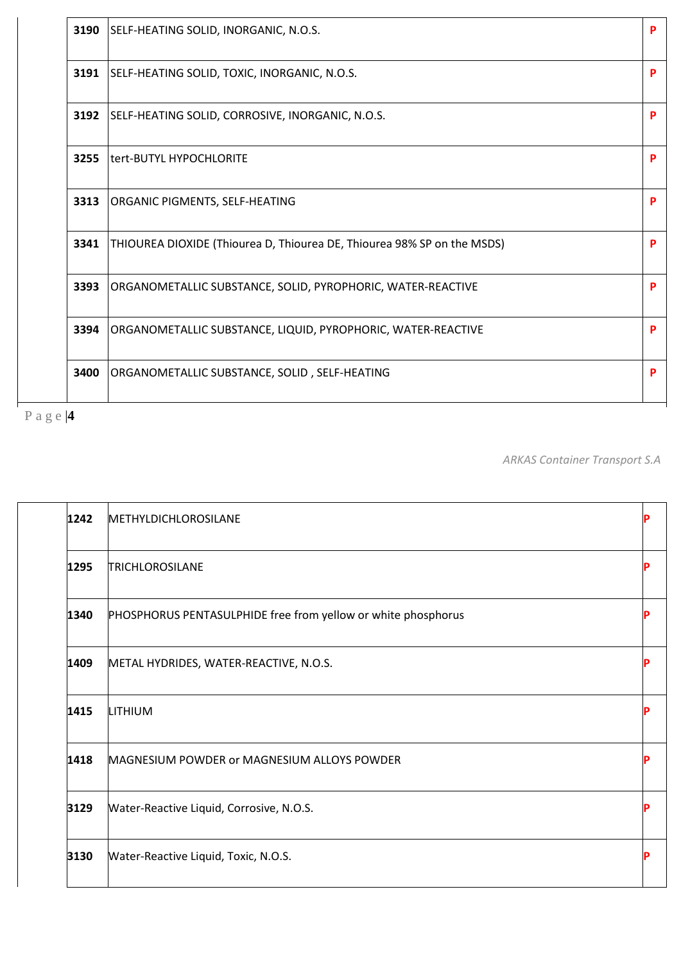| 3190 | SELF-HEATING SOLID, INORGANIC, N.O.S.                                   |  |
|------|-------------------------------------------------------------------------|--|
| 3191 | SELF-HEATING SOLID, TOXIC, INORGANIC, N.O.S.                            |  |
| 3192 | SELF-HEATING SOLID, CORROSIVE, INORGANIC, N.O.S.                        |  |
| 3255 | tert-BUTYL HYPOCHLORITE                                                 |  |
| 3313 | ORGANIC PIGMENTS, SELF-HEATING                                          |  |
| 3341 | THIOUREA DIOXIDE (Thiourea D, Thiourea DE, Thiourea 98% SP on the MSDS) |  |
| 3393 | ORGANOMETALLIC SUBSTANCE, SOLID, PYROPHORIC, WATER-REACTIVE             |  |
| 3394 | ORGANOMETALLIC SUBSTANCE, LIQUID, PYROPHORIC, WATER-REACTIVE            |  |
| 3400 | ORGANOMETALLIC SUBSTANCE, SOLID, SELF-HEATING                           |  |

*ARKAS Container Transport S.A*

| 1242 | METHYLDICHLOROSILANE                                          |  |
|------|---------------------------------------------------------------|--|
| 1295 | <b>TRICHLOROSILANE</b>                                        |  |
| 1340 | PHOSPHORUS PENTASULPHIDE free from yellow or white phosphorus |  |
| 1409 | METAL HYDRIDES, WATER-REACTIVE, N.O.S.                        |  |
| 1415 | LITHIUM                                                       |  |
| 1418 | MAGNESIUM POWDER or MAGNESIUM ALLOYS POWDER                   |  |
| 3129 | Water-Reactive Liquid, Corrosive, N.O.S.                      |  |
| 3130 | Water-Reactive Liquid, Toxic, N.O.S.                          |  |
|      |                                                               |  |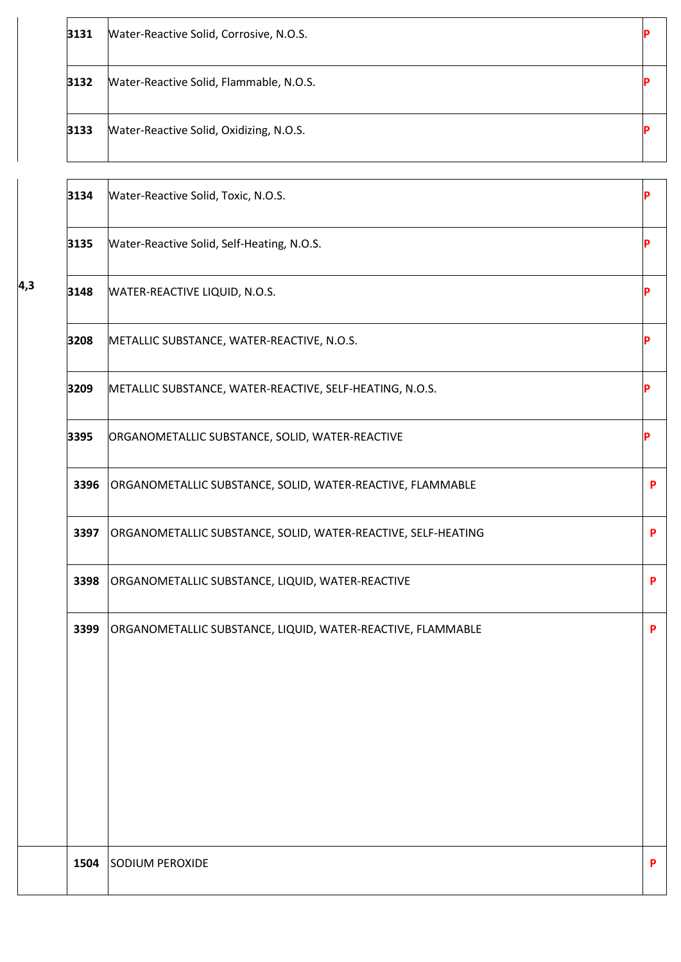| 3131 | Water-Reactive Solid, Corrosive, N.O.S.                       |   |
|------|---------------------------------------------------------------|---|
| 3132 | Water-Reactive Solid, Flammable, N.O.S.                       |   |
| 3133 | Water-Reactive Solid, Oxidizing, N.O.S.                       |   |
| 3134 | Water-Reactive Solid, Toxic, N.O.S.                           |   |
| 3135 | Water-Reactive Solid, Self-Heating, N.O.S.                    |   |
| 3148 | WATER-REACTIVE LIQUID, N.O.S.                                 |   |
| 3208 | METALLIC SUBSTANCE, WATER-REACTIVE, N.O.S.                    |   |
| 3209 | METALLIC SUBSTANCE, WATER-REACTIVE, SELF-HEATING, N.O.S.      |   |
| 3395 | ORGANOMETALLIC SUBSTANCE, SOLID, WATER-REACTIVE               | D |
| 3396 | ORGANOMETALLIC SUBSTANCE, SOLID, WATER-REACTIVE, FLAMMABLE    | P |
| 3397 | ORGANOMETALLIC SUBSTANCE, SOLID, WATER-REACTIVE, SELF-HEATING | P |
| 3398 | ORGANOMETALLIC SUBSTANCE, LIQUID, WATER-REACTIVE              | P |
| 3399 | ORGANOMETALLIC SUBSTANCE, LIQUID, WATER-REACTIVE, FLAMMABLE   | P |
| 1504 | SODIUM PEROXIDE                                               | P |
|      |                                                               |   |

**4,3**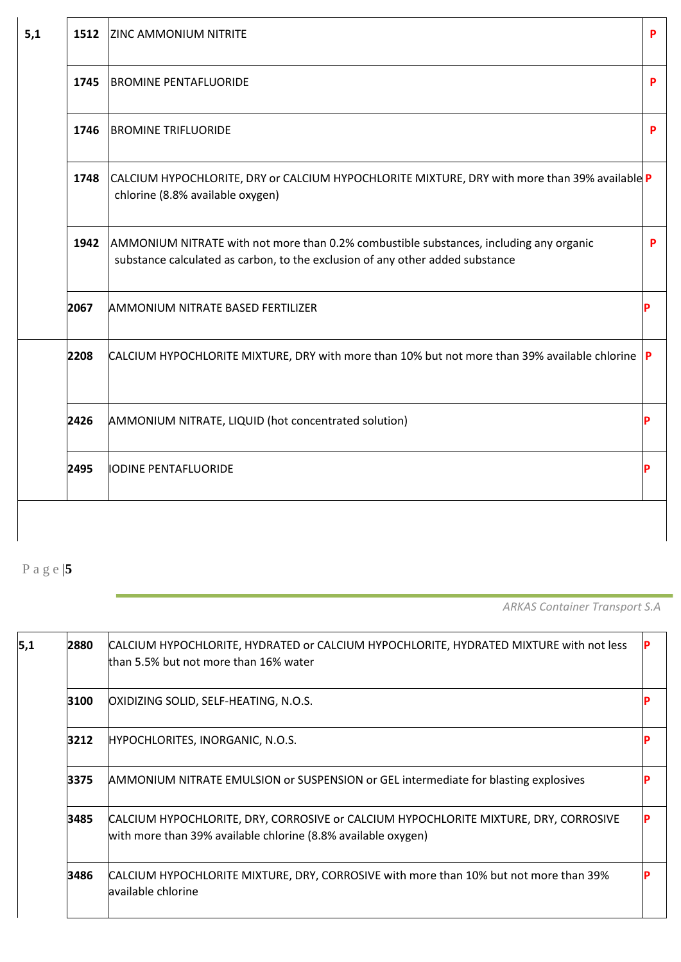| 5,1 | 1512 | <b>ZINC AMMONIUM NITRITE</b>                                                                                                                                            | P |
|-----|------|-------------------------------------------------------------------------------------------------------------------------------------------------------------------------|---|
|     | 1745 | <b>BROMINE PENTAFLUORIDE</b>                                                                                                                                            | P |
|     | 1746 | <b>BROMINE TRIFLUORIDE</b>                                                                                                                                              | P |
|     | 1748 | CALCIUM HYPOCHLORITE, DRY or CALCIUM HYPOCHLORITE MIXTURE, DRY with more than 39% available P<br>chlorine (8.8% available oxygen)                                       |   |
|     | 1942 | AMMONIUM NITRATE with not more than 0.2% combustible substances, including any organic<br>substance calculated as carbon, to the exclusion of any other added substance | P |
|     | 2067 | <b>AMMONIUM NITRATE BASED FERTILIZER</b>                                                                                                                                |   |
|     | 2208 | CALCIUM HYPOCHLORITE MIXTURE, DRY with more than 10% but not more than 39% available chlorine $ P $                                                                     |   |
|     | 2426 | AMMONIUM NITRATE, LIQUID (hot concentrated solution)                                                                                                                    |   |
|     | 2495 | <b>IODINE PENTAFLUORIDE</b>                                                                                                                                             |   |

*ARKAS Container Transport S.A*

ľ

| 5,1 | 2880 | CALCIUM HYPOCHLORITE, HYDRATED or CALCIUM HYPOCHLORITE, HYDRATED MIXTURE with not less<br>than 5.5% but not more than 16% water                       |  |
|-----|------|-------------------------------------------------------------------------------------------------------------------------------------------------------|--|
|     | 3100 | OXIDIZING SOLID, SELF-HEATING, N.O.S.                                                                                                                 |  |
|     | 3212 | HYPOCHLORITES, INORGANIC, N.O.S.                                                                                                                      |  |
|     | 3375 | <b>AMMONIUM NITRATE EMULSION or SUSPENSION or GEL intermediate for blasting explosives</b>                                                            |  |
|     | 3485 | CALCIUM HYPOCHLORITE, DRY, CORROSIVE or CALCIUM HYPOCHLORITE MIXTURE, DRY, CORROSIVE<br>with more than 39% available chlorine (8.8% available oxygen) |  |
|     | 3486 | CALCIUM HYPOCHLORITE MIXTURE, DRY, CORROSIVE with more than 10% but not more than 39%<br>lavailable chlorine                                          |  |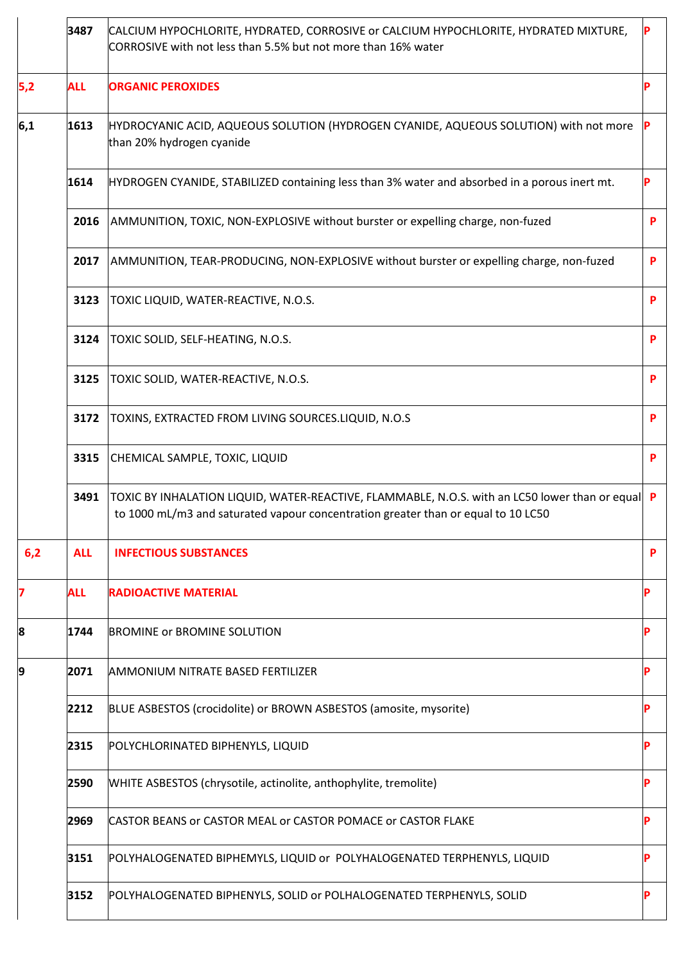|     | 3487       | CALCIUM HYPOCHLORITE, HYDRATED, CORROSIVE or CALCIUM HYPOCHLORITE, HYDRATED MIXTURE,<br>CORROSIVE with not less than 5.5% but not more than 16% water                                 |   |
|-----|------------|---------------------------------------------------------------------------------------------------------------------------------------------------------------------------------------|---|
| 5,2 | <b>ALL</b> | <b>ORGANIC PEROXIDES</b>                                                                                                                                                              |   |
| 6,1 | 1613       | HYDROCYANIC ACID, AQUEOUS SOLUTION (HYDROGEN CYANIDE, AQUEOUS SOLUTION) with not more<br>than 20% hydrogen cyanide                                                                    |   |
|     | 1614       | HYDROGEN CYANIDE, STABILIZED containing less than 3% water and absorbed in a porous inert mt.                                                                                         |   |
|     | 2016       | AMMUNITION, TOXIC, NON-EXPLOSIVE without burster or expelling charge, non-fuzed                                                                                                       | P |
|     | 2017       | AMMUNITION, TEAR-PRODUCING, NON-EXPLOSIVE without burster or expelling charge, non-fuzed                                                                                              | P |
|     | 3123       | TOXIC LIQUID, WATER-REACTIVE, N.O.S.                                                                                                                                                  | P |
|     | 3124       | TOXIC SOLID, SELF-HEATING, N.O.S.                                                                                                                                                     | P |
|     | 3125       | TOXIC SOLID, WATER-REACTIVE, N.O.S.                                                                                                                                                   | P |
|     | 3172       | TOXINS, EXTRACTED FROM LIVING SOURCES.LIQUID, N.O.S                                                                                                                                   | P |
|     | 3315       | CHEMICAL SAMPLE, TOXIC, LIQUID                                                                                                                                                        | P |
|     | 3491       | TOXIC BY INHALATION LIQUID, WATER-REACTIVE, FLAMMABLE, N.O.S. with an LC50 lower than or equal P<br>to 1000 mL/m3 and saturated vapour concentration greater than or equal to 10 LC50 |   |
| 6,2 | <b>ALL</b> | <b>INFECTIOUS SUBSTANCES</b>                                                                                                                                                          | P |
| 7   | <b>ALL</b> | <b>RADIOACTIVE MATERIAL</b>                                                                                                                                                           |   |
| 8   | 1744       | <b>BROMINE or BROMINE SOLUTION</b>                                                                                                                                                    |   |
| 19  | 2071       | <b>AMMONIUM NITRATE BASED FERTILIZER</b>                                                                                                                                              |   |
|     | 2212       | BLUE ASBESTOS (crocidolite) or BROWN ASBESTOS (amosite, mysorite)                                                                                                                     |   |
|     | 2315       | POLYCHLORINATED BIPHENYLS, LIQUID                                                                                                                                                     |   |
|     | 2590       | WHITE ASBESTOS (chrysotile, actinolite, anthophylite, tremolite)                                                                                                                      |   |
|     | 2969       | CASTOR BEANS or CASTOR MEAL or CASTOR POMACE or CASTOR FLAKE                                                                                                                          | D |
|     | 3151       | POLYHALOGENATED BIPHEMYLS, LIQUID or POLYHALOGENATED TERPHENYLS, LIQUID                                                                                                               |   |
|     | 3152       | POLYHALOGENATED BIPHENYLS, SOLID or POLHALOGENATED TERPHENYLS, SOLID                                                                                                                  |   |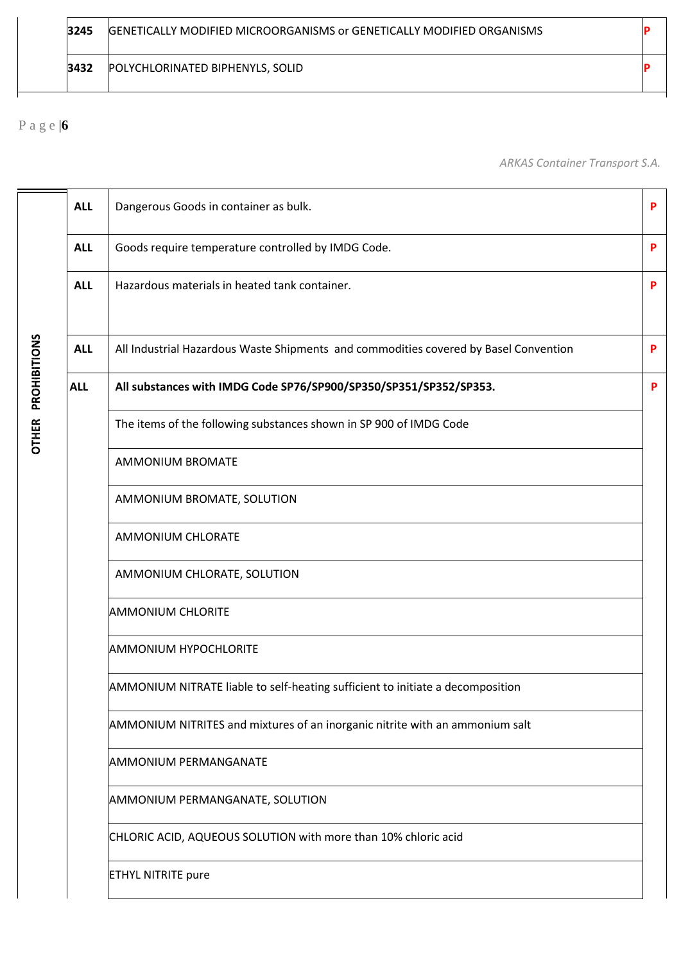| 3245 | <b>GENETICALLY MODIFIED MICROORGANISMS or GENETICALLY MODIFIED ORGANISMS</b> |  |
|------|------------------------------------------------------------------------------|--|
| 3432 | POLYCHLORINATED BIPHENYLS, SOLID                                             |  |

*ARKAS Container Transport S.A.*

|              | <b>ALL</b> | Dangerous Goods in container as bulk.                                                | P |
|--------------|------------|--------------------------------------------------------------------------------------|---|
|              | <b>ALL</b> | Goods require temperature controlled by IMDG Code.                                   | P |
|              | <b>ALL</b> | Hazardous materials in heated tank container.                                        | P |
| PROHIBITIONS | <b>ALL</b> | All Industrial Hazardous Waste Shipments and commodities covered by Basel Convention | P |
|              | <b>ALL</b> | All substances with IMDG Code SP76/SP900/SP350/SP351/SP352/SP353.                    | P |
| <b>OTHER</b> |            | The items of the following substances shown in SP 900 of IMDG Code                   |   |
|              |            | <b>AMMONIUM BROMATE</b>                                                              |   |
|              |            | AMMONIUM BROMATE, SOLUTION                                                           |   |
|              |            | AMMONIUM CHLORATE                                                                    |   |
|              |            | AMMONIUM CHLORATE, SOLUTION                                                          |   |
|              |            | <b>AMMONIUM CHLORITE</b>                                                             |   |
|              |            | <b>AMMONIUM HYPOCHLORITE</b>                                                         |   |
|              |            | AMMONIUM NITRATE liable to self-heating sufficient to initiate a decomposition       |   |
|              |            | AMMONIUM NITRITES and mixtures of an inorganic nitrite with an ammonium salt         |   |
|              |            | <b>AMMONIUM PERMANGANATE</b>                                                         |   |
|              |            | AMMONIUM PERMANGANATE, SOLUTION                                                      |   |
|              |            | CHLORIC ACID, AQUEOUS SOLUTION with more than 10% chloric acid                       |   |
|              |            | <b>ETHYL NITRITE pure</b>                                                            |   |
|              |            |                                                                                      |   |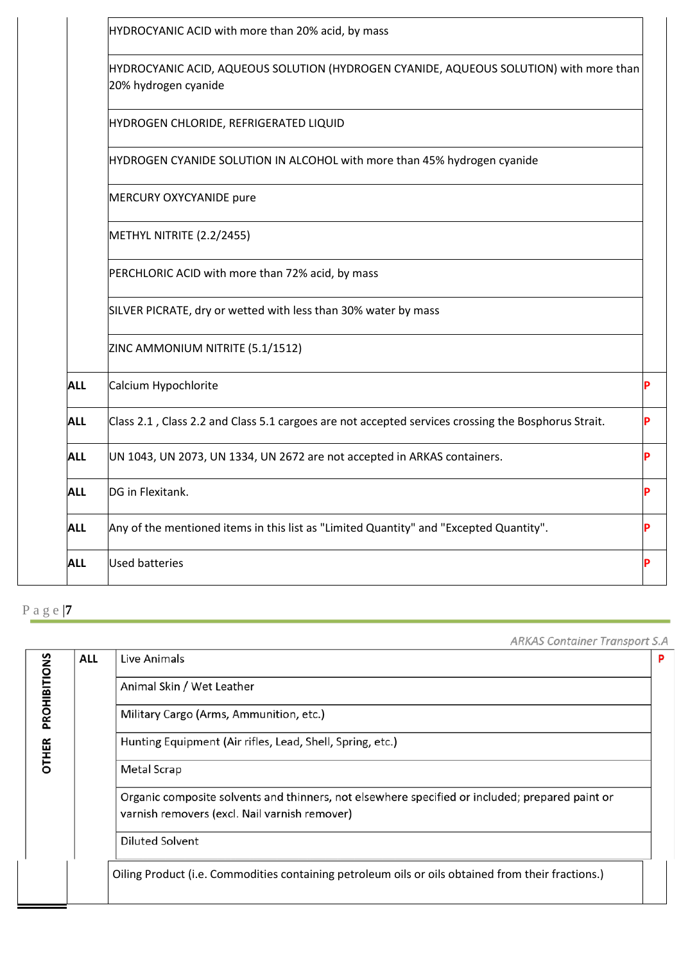|            | HYDROCYANIC ACID with more than 20% acid, by mass                                                              |
|------------|----------------------------------------------------------------------------------------------------------------|
|            | HYDROCYANIC ACID, AQUEOUS SOLUTION (HYDROGEN CYANIDE, AQUEOUS SOLUTION) with more than<br>20% hydrogen cyanide |
|            | HYDROGEN CHLORIDE, REFRIGERATED LIQUID                                                                         |
|            | HYDROGEN CYANIDE SOLUTION IN ALCOHOL with more than 45% hydrogen cyanide                                       |
|            | MERCURY OXYCYANIDE pure                                                                                        |
|            | METHYL NITRITE (2.2/2455)                                                                                      |
|            | PERCHLORIC ACID with more than 72% acid, by mass                                                               |
|            | SILVER PICRATE, dry or wetted with less than 30% water by mass                                                 |
|            | ZINC AMMONIUM NITRITE (5.1/1512)                                                                               |
| <b>ALL</b> | Calcium Hypochlorite                                                                                           |
| <b>ALL</b> | Class 2.1, Class 2.2 and Class 5.1 cargoes are not accepted services crossing the Bosphorus Strait.            |
| <b>ALL</b> | UN 1043, UN 2073, UN 1334, UN 2672 are not accepted in ARKAS containers.                                       |
| <b>ALL</b> | DG in Flexitank.                                                                                               |
| <b>ALL</b> | Any of the mentioned items in this list as "Limited Quantity" and "Excepted Quantity".                         |
| <b>ALL</b> | <b>Used batteries</b>                                                                                          |

**ARKAS Container Transport S.A** 

|              | <b>ALL</b> | Live Animals                                                                                                                                     | P |
|--------------|------------|--------------------------------------------------------------------------------------------------------------------------------------------------|---|
| PROHIBITIONS |            | Animal Skin / Wet Leather                                                                                                                        |   |
|              |            | Military Cargo (Arms, Ammunition, etc.)                                                                                                          |   |
| <b>OTHER</b> |            | Hunting Equipment (Air rifles, Lead, Shell, Spring, etc.)                                                                                        |   |
|              |            | Metal Scrap                                                                                                                                      |   |
|              |            | Organic composite solvents and thinners, not elsewhere specified or included; prepared paint or<br>varnish removers (excl. Nail varnish remover) |   |
|              |            | Diluted Solvent                                                                                                                                  |   |
|              |            | Oiling Product (i.e. Commodities containing petroleum oils or oils obtained from their fractions.)                                               |   |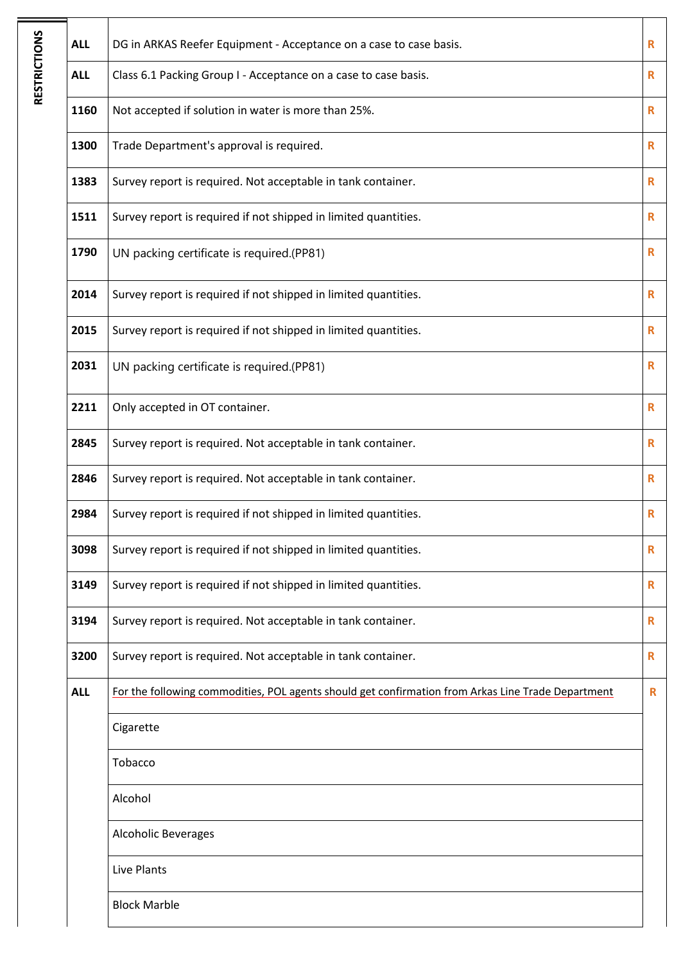| <b>ALL</b> | DG in ARKAS Reefer Equipment - Acceptance on a case to case basis.                                 | R            |
|------------|----------------------------------------------------------------------------------------------------|--------------|
| <b>ALL</b> | Class 6.1 Packing Group I - Acceptance on a case to case basis.                                    | R            |
| 1160       | Not accepted if solution in water is more than 25%.                                                | $\mathbf R$  |
| 1300       | Trade Department's approval is required.                                                           | R            |
| 1383       | Survey report is required. Not acceptable in tank container.                                       | R            |
| 1511       | Survey report is required if not shipped in limited quantities.                                    | R            |
| 1790       | UN packing certificate is required.(PP81)                                                          | R            |
| 2014       | Survey report is required if not shipped in limited quantities.                                    | $\mathbf R$  |
| 2015       | Survey report is required if not shipped in limited quantities.                                    | $\mathbf R$  |
| 2031       | UN packing certificate is required.(PP81)                                                          | R            |
| 2211       | Only accepted in OT container.                                                                     | R            |
| 2845       | Survey report is required. Not acceptable in tank container.                                       | R            |
| 2846       | Survey report is required. Not acceptable in tank container.                                       | R            |
| 2984       | Survey report is required if not shipped in limited quantities.                                    | $\mathbf R$  |
| 3098       | Survey report is required if not shipped in limited quantities.                                    | R            |
| 3149       | Survey report is required if not shipped in limited quantities.                                    | R            |
| 3194       | Survey report is required. Not acceptable in tank container.                                       | $\mathbf R$  |
| 3200       | Survey report is required. Not acceptable in tank container.                                       | $\mathsf{R}$ |
| <b>ALL</b> | For the following commodities, POL agents should get confirmation from Arkas Line Trade Department | R            |
|            | Cigarette                                                                                          |              |
|            | Tobacco                                                                                            |              |
|            | Alcohol                                                                                            |              |
|            | Alcoholic Beverages                                                                                |              |
|            | Live Plants                                                                                        |              |
|            | <b>Block Marble</b>                                                                                |              |
|            |                                                                                                    |              |